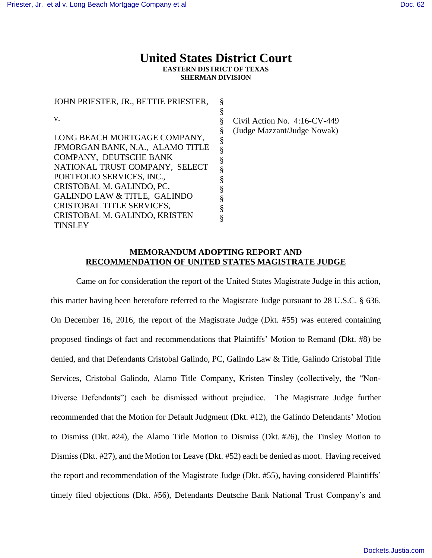# **United States District Court EASTERN DISTRICT OF TEXAS SHERMAN DIVISION**

JOHN PRIESTER, JR., BETTIE PRIESTER, v. LONG BEACH MORTGAGE COMPANY, JPMORGAN BANK, N.A., ALAMO TITLE COMPANY, DEUTSCHE BANK NATIONAL TRUST COMPANY, SELECT PORTFOLIO SERVICES, INC., CRISTOBAL M. GALINDO, PC, GALINDO LAW & TITLE, GALINDO CRISTOBAL TITLE SERVICES, CRISTOBAL M. GALINDO, KRISTEN **TINSLEY** § § § § § § § § § § § § §

Civil Action No. 4:16-CV-449 (Judge Mazzant/Judge Nowak)

# **MEMORANDUM ADOPTING REPORT AND RECOMMENDATION OF UNITED STATES MAGISTRATE JUDGE**

Came on for consideration the report of the United States Magistrate Judge in this action, this matter having been heretofore referred to the Magistrate Judge pursuant to 28 U.S.C. § 636. On December 16, 2016, the report of the Magistrate Judge (Dkt. #55) was entered containing proposed findings of fact and recommendations that Plaintiffs' Motion to Remand (Dkt. #8) be denied, and that Defendants Cristobal Galindo, PC, Galindo Law & Title, Galindo Cristobal Title Services, Cristobal Galindo, Alamo Title Company, Kristen Tinsley (collectively, the "Non-Diverse Defendants") each be dismissed without prejudice. The Magistrate Judge further recommended that the Motion for Default Judgment (Dkt. #12), the Galindo Defendants' Motion to Dismiss (Dkt. #24), the Alamo Title Motion to Dismiss (Dkt. #26), the Tinsley Motion to Dismiss (Dkt. #27), and the Motion for Leave (Dkt. #52) each be denied as moot. Having received the report and recommendation of the Magistrate Judge (Dkt. #55), having considered Plaintiffs' timely filed objections (Dkt. #56), Defendants Deutsche Bank National Trust Company's and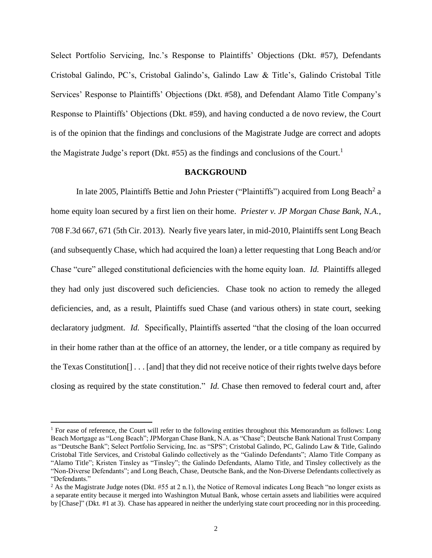Select Portfolio Servicing, Inc.'s Response to Plaintiffs' Objections (Dkt. #57), Defendants Cristobal Galindo, PC's, Cristobal Galindo's, Galindo Law & Title's, Galindo Cristobal Title Services' Response to Plaintiffs' Objections (Dkt. #58), and Defendant Alamo Title Company's Response to Plaintiffs' Objections (Dkt. #59), and having conducted a de novo review, the Court is of the opinion that the findings and conclusions of the Magistrate Judge are correct and adopts the Magistrate Judge's report (Dkt. #55) as the findings and conclusions of the Court.<sup>1</sup>

#### **BACKGROUND**

In late 2005, Plaintiffs Bettie and John Priester ("Plaintiffs") acquired from Long Beach<sup>2</sup> a home equity loan secured by a first lien on their home. *Priester v. JP Morgan Chase Bank, N.A.*, 708 F.3d 667, 671 (5th Cir. 2013). Nearly five years later, in mid-2010, Plaintiffs sent Long Beach (and subsequently Chase, which had acquired the loan) a letter requesting that Long Beach and/or Chase "cure" alleged constitutional deficiencies with the home equity loan. *Id.* Plaintiffs alleged they had only just discovered such deficiencies. Chase took no action to remedy the alleged deficiencies, and, as a result, Plaintiffs sued Chase (and various others) in state court, seeking declaratory judgment. *Id.* Specifically, Plaintiffs asserted "that the closing of the loan occurred in their home rather than at the office of an attorney, the lender, or a title company as required by the Texas Constitution[] . . . [and] that they did not receive notice of their rights twelve days before closing as required by the state constitution." *Id.* Chase then removed to federal court and, after

 $<sup>1</sup>$  For ease of reference, the Court will refer to the following entities throughout this Memorandum as follows: Long</sup> Beach Mortgage as "Long Beach"; JPMorgan Chase Bank, N.A. as "Chase"; Deutsche Bank National Trust Company as "Deutsche Bank"; Select Portfolio Servicing, Inc. as "SPS"; Cristobal Galindo, PC, Galindo Law & Title, Galindo Cristobal Title Services, and Cristobal Galindo collectively as the "Galindo Defendants"; Alamo Title Company as "Alamo Title"; Kristen Tinsley as "Tinsley"; the Galindo Defendants, Alamo Title, and Tinsley collectively as the "Non-Diverse Defendants"; and Long Beach, Chase, Deutsche Bank, and the Non-Diverse Defendants collectively as "Defendants."

<sup>&</sup>lt;sup>2</sup> As the Magistrate Judge notes (Dkt. #55 at 2 n.1), the Notice of Removal indicates Long Beach "no longer exists as a separate entity because it merged into Washington Mutual Bank, whose certain assets and liabilities were acquired by [Chase]" (Dkt. #1 at 3). Chase has appeared in neither the underlying state court proceeding nor in this proceeding.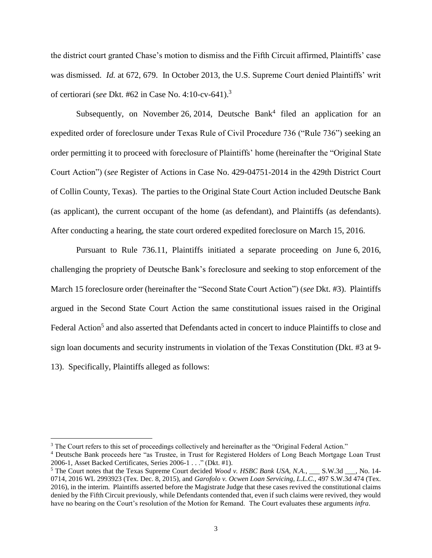the district court granted Chase's motion to dismiss and the Fifth Circuit affirmed, Plaintiffs' case was dismissed. *Id.* at 672, 679. In October 2013, the U.S. Supreme Court denied Plaintiffs' writ of certiorari (*see* Dkt. #62 in Case No. 4:10-cv-641).<sup>3</sup>

Subsequently, on November 26, 2014, Deutsche Bank<sup>4</sup> filed an application for an expedited order of foreclosure under Texas Rule of Civil Procedure 736 ("Rule 736") seeking an order permitting it to proceed with foreclosure of Plaintiffs' home (hereinafter the "Original State Court Action") (*see* Register of Actions in Case No. 429-04751-2014 in the 429th District Court of Collin County, Texas). The parties to the Original State Court Action included Deutsche Bank (as applicant), the current occupant of the home (as defendant), and Plaintiffs (as defendants). After conducting a hearing, the state court ordered expedited foreclosure on March 15, 2016.

Pursuant to Rule 736.11, Plaintiffs initiated a separate proceeding on June 6, 2016, challenging the propriety of Deutsche Bank's foreclosure and seeking to stop enforcement of the March 15 foreclosure order (hereinafter the "Second State Court Action") (*see* Dkt. #3). Plaintiffs argued in the Second State Court Action the same constitutional issues raised in the Original Federal Action<sup>5</sup> and also asserted that Defendants acted in concert to induce Plaintiffs to close and sign loan documents and security instruments in violation of the Texas Constitution (Dkt. #3 at 9- 13). Specifically, Plaintiffs alleged as follows:

<sup>&</sup>lt;sup>3</sup> The Court refers to this set of proceedings collectively and hereinafter as the "Original Federal Action."

<sup>4</sup> Deutsche Bank proceeds here "as Trustee, in Trust for Registered Holders of Long Beach Mortgage Loan Trust 2006-1, Asset Backed Certificates, Series 2006-1 . . ." (Dkt. #1).

<sup>&</sup>lt;sup>5</sup> The Court notes that the Texas Supreme Court decided *Wood v. HSBC Bank USA, N.A.*,  $\sim$  S.W.3d  $\sim$ , No. 14-0714, 2016 WL 2993923 (Tex. Dec. 8, 2015), and *Garofolo v. Ocwen Loan Servicing, L.L.C.*, 497 S.W.3d 474 (Tex. 2016), in the interim. Plaintiffs asserted before the Magistrate Judge that these cases revived the constitutional claims denied by the Fifth Circuit previously, while Defendants contended that, even if such claims were revived, they would have no bearing on the Court's resolution of the Motion for Remand. The Court evaluates these arguments *infra*.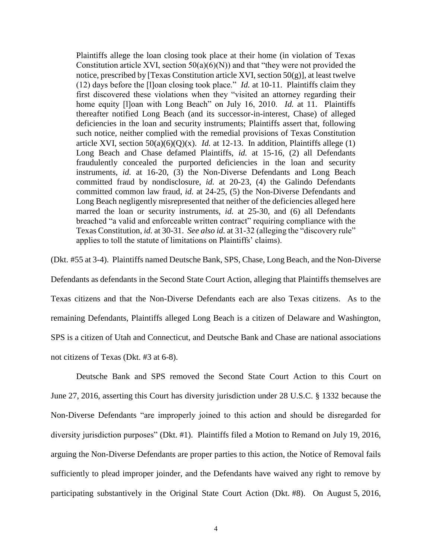Plaintiffs allege the loan closing took place at their home (in violation of Texas Constitution article XVI, section  $50(a)(6)(N)$  and that "they were not provided the notice, prescribed by [Texas Constitution article XVI, section  $50(g)$ ], at least twelve (12) days before the [l]oan closing took place." *Id.* at 10-11. Plaintiffs claim they first discovered these violations when they "visited an attorney regarding their home equity [l]oan with Long Beach" on July 16, 2010. *Id.* at 11. Plaintiffs thereafter notified Long Beach (and its successor-in-interest, Chase) of alleged deficiencies in the loan and security instruments; Plaintiffs assert that, following such notice, neither complied with the remedial provisions of Texas Constitution article XVI, section  $50(a)(6)(Q)(x)$ . *Id.* at 12-13. In addition, Plaintiffs allege (1) Long Beach and Chase defamed Plaintiffs, *id.* at 15-16, (2) all Defendants fraudulently concealed the purported deficiencies in the loan and security instruments, *id.* at 16-20, (3) the Non-Diverse Defendants and Long Beach committed fraud by nondisclosure, *id.* at 20-23, (4) the Galindo Defendants committed common law fraud, *id.* at 24-25, (5) the Non-Diverse Defendants and Long Beach negligently misrepresented that neither of the deficiencies alleged here marred the loan or security instruments, *id.* at 25-30, and (6) all Defendants breached "a valid and enforceable written contract" requiring compliance with the Texas Constitution, *id.* at 30-31. *See also id.* at 31-32 (alleging the "discovery rule" applies to toll the statute of limitations on Plaintiffs' claims).

(Dkt. #55 at 3-4). Plaintiffs named Deutsche Bank, SPS, Chase, Long Beach, and the Non-Diverse Defendants as defendants in the Second State Court Action, alleging that Plaintiffs themselves are Texas citizens and that the Non-Diverse Defendants each are also Texas citizens. As to the remaining Defendants, Plaintiffs alleged Long Beach is a citizen of Delaware and Washington, SPS is a citizen of Utah and Connecticut, and Deutsche Bank and Chase are national associations not citizens of Texas (Dkt. #3 at 6-8).

Deutsche Bank and SPS removed the Second State Court Action to this Court on June 27, 2016, asserting this Court has diversity jurisdiction under 28 U.S.C. § 1332 because the Non-Diverse Defendants "are improperly joined to this action and should be disregarded for diversity jurisdiction purposes" (Dkt. #1). Plaintiffs filed a Motion to Remand on July 19, 2016, arguing the Non-Diverse Defendants are proper parties to this action, the Notice of Removal fails sufficiently to plead improper joinder, and the Defendants have waived any right to remove by participating substantively in the Original State Court Action (Dkt. #8). On August 5, 2016,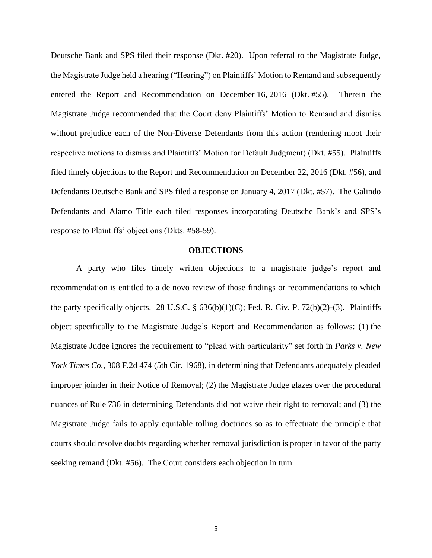Deutsche Bank and SPS filed their response (Dkt. #20). Upon referral to the Magistrate Judge, the Magistrate Judge held a hearing ("Hearing") on Plaintiffs' Motion to Remand and subsequently entered the Report and Recommendation on December 16, 2016 (Dkt. #55). Therein the Magistrate Judge recommended that the Court deny Plaintiffs' Motion to Remand and dismiss without prejudice each of the Non-Diverse Defendants from this action (rendering moot their respective motions to dismiss and Plaintiffs' Motion for Default Judgment) (Dkt. #55). Plaintiffs filed timely objections to the Report and Recommendation on December 22, 2016 (Dkt. #56), and Defendants Deutsche Bank and SPS filed a response on January 4, 2017 (Dkt. #57). The Galindo Defendants and Alamo Title each filed responses incorporating Deutsche Bank's and SPS's response to Plaintiffs' objections (Dkts. #58-59).

# **OBJECTIONS**

A party who files timely written objections to a magistrate judge's report and recommendation is entitled to a de novo review of those findings or recommendations to which the party specifically objects. 28 U.S.C.  $\S$  636(b)(1)(C); Fed. R. Civ. P. 72(b)(2)-(3). Plaintiffs object specifically to the Magistrate Judge's Report and Recommendation as follows: (1) the Magistrate Judge ignores the requirement to "plead with particularity" set forth in *Parks v. New York Times Co.*, 308 F.2d 474 (5th Cir. 1968), in determining that Defendants adequately pleaded improper joinder in their Notice of Removal; (2) the Magistrate Judge glazes over the procedural nuances of Rule 736 in determining Defendants did not waive their right to removal; and (3) the Magistrate Judge fails to apply equitable tolling doctrines so as to effectuate the principle that courts should resolve doubts regarding whether removal jurisdiction is proper in favor of the party seeking remand (Dkt. #56). The Court considers each objection in turn.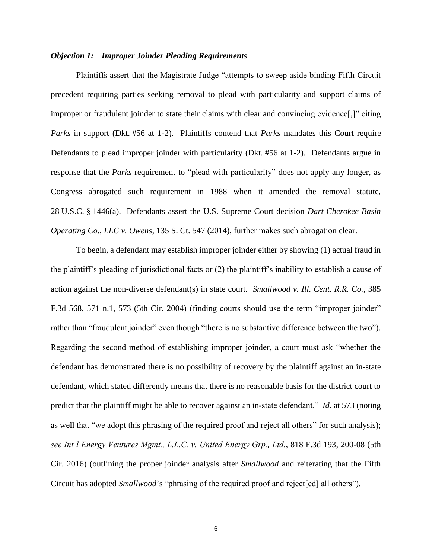#### *Objection 1: Improper Joinder Pleading Requirements*

Plaintiffs assert that the Magistrate Judge "attempts to sweep aside binding Fifth Circuit precedent requiring parties seeking removal to plead with particularity and support claims of improper or fraudulent joinder to state their claims with clear and convincing evidence[,]" citing *Parks* in support (Dkt. #56 at 1-2). Plaintiffs contend that *Parks* mandates this Court require Defendants to plead improper joinder with particularity (Dkt. #56 at 1-2). Defendants argue in response that the *Parks* requirement to "plead with particularity" does not apply any longer, as Congress abrogated such requirement in 1988 when it amended the removal statute, 28 U.S.C. § 1446(a). Defendants assert the U.S. Supreme Court decision *Dart Cherokee Basin Operating Co., LLC v. Owens*, 135 S. Ct. 547 (2014), further makes such abrogation clear.

To begin, a defendant may establish improper joinder either by showing (1) actual fraud in the plaintiff's pleading of jurisdictional facts or (2) the plaintiff's inability to establish a cause of action against the non-diverse defendant(s) in state court. *Smallwood v. Ill. Cent. R.R. Co.*, 385 F.3d 568, 571 n.1, 573 (5th Cir. 2004) (finding courts should use the term "improper joinder" rather than "fraudulent joinder" even though "there is no substantive difference between the two"). Regarding the second method of establishing improper joinder, a court must ask "whether the defendant has demonstrated there is no possibility of recovery by the plaintiff against an in-state defendant, which stated differently means that there is no reasonable basis for the district court to predict that the plaintiff might be able to recover against an in-state defendant." *Id.* at 573 (noting as well that "we adopt this phrasing of the required proof and reject all others" for such analysis); *see Int'l Energy Ventures Mgmt., L.L.C. v. United Energy Grp., Ltd.*, 818 F.3d 193, 200-08 (5th Cir. 2016) (outlining the proper joinder analysis after *Smallwood* and reiterating that the Fifth Circuit has adopted *Smallwood*'s "phrasing of the required proof and reject[ed] all others").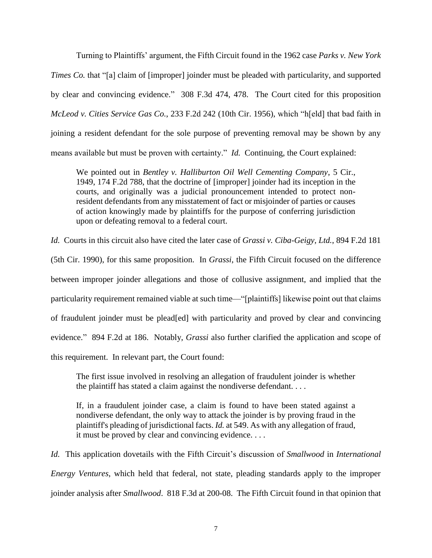Turning to Plaintiffs' argument, the Fifth Circuit found in the 1962 case *Parks v. New York Times Co.* that "[a] claim of [improper] joinder must be pleaded with particularity, and supported by clear and convincing evidence." 308 F.3d 474, 478. The Court cited for this proposition *McLeod v. Cities Service Gas Co.*, 233 F.2d 242 (10th Cir. 1956), which "h[eld] that bad faith in joining a resident defendant for the sole purpose of preventing removal may be shown by any means available but must be proven with certainty." *Id.* Continuing, the Court explained:

We pointed out in *Bentley v. Halliburton Oil Well Cementing Company*, 5 Cir., 1949, 174 F.2d 788, that the doctrine of [improper] joinder had its inception in the courts, and originally was a judicial pronouncement intended to protect nonresident defendants from any misstatement of fact or misjoinder of parties or causes of action knowingly made by plaintiffs for the purpose of conferring jurisdiction upon or defeating removal to a federal court.

*Id.* Courts in this circuit also have cited the later case of *Grassi v. Ciba-Geigy, Ltd.*, 894 F.2d 181

(5th Cir. 1990), for this same proposition. In *Grassi*, the Fifth Circuit focused on the difference between improper joinder allegations and those of collusive assignment, and implied that the particularity requirement remained viable at such time—"[plaintiffs] likewise point out that claims of fraudulent joinder must be plead[ed] with particularity and proved by clear and convincing evidence." 894 F.2d at 186. Notably, *Grassi* also further clarified the application and scope of this requirement. In relevant part, the Court found:

The first issue involved in resolving an allegation of fraudulent joinder is whether the plaintiff has stated a claim against the nondiverse defendant. . . .

If, in a fraudulent joinder case, a claim is found to have been stated against a nondiverse defendant, the only way to attack the joinder is by proving fraud in the plaintiff's pleading of jurisdictional facts. *Id.* at 549. As with any allegation of fraud, it must be proved by clear and convincing evidence. . . .

*Id.* This application dovetails with the Fifth Circuit's discussion of *Smallwood* in *International Energy Ventures*, which held that federal, not state, pleading standards apply to the improper joinder analysis after *Smallwood*. 818 F.3d at 200-08. The Fifth Circuit found in that opinion that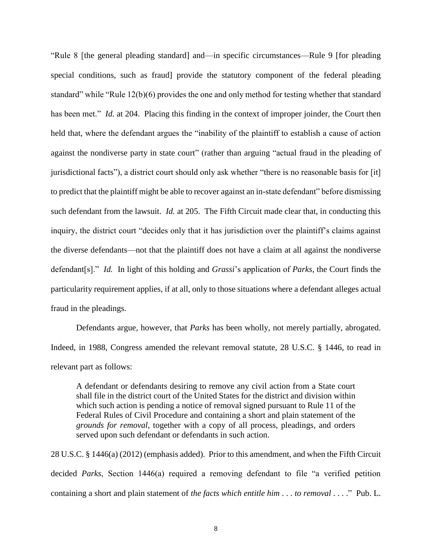"Rule 8 [the general pleading standard] and—in specific circumstances—Rule 9 [for pleading special conditions, such as fraud] provide the statutory component of the federal pleading standard" while "Rule 12(b)(6) provides the one and only method for testing whether that standard has been met." *Id.* at 204. Placing this finding in the context of improper joinder, the Court then held that, where the defendant argues the "inability of the plaintiff to establish a cause of action against the nondiverse party in state court" (rather than arguing "actual fraud in the pleading of jurisdictional facts"), a district court should only ask whether "there is no reasonable basis for [it] to predict that the plaintiff might be able to recover against an in-state defendant" before dismissing such defendant from the lawsuit. *Id.* at 205. The Fifth Circuit made clear that, in conducting this inquiry, the district court "decides only that it has jurisdiction over the plaintiff's claims against the diverse defendants—not that the plaintiff does not have a claim at all against the nondiverse defendant[s]." *Id.* In light of this holding and *Grassi*'s application of *Parks*, the Court finds the particularity requirement applies, if at all, only to those situations where a defendant alleges actual fraud in the pleadings.

Defendants argue, however, that *Parks* has been wholly, not merely partially, abrogated. Indeed, in 1988, Congress amended the relevant removal statute, 28 U.S.C. § 1446, to read in relevant part as follows:

A defendant or defendants desiring to remove any civil action from a State court shall file in the district court of the United States for the district and division within which such action is pending a notice of removal signed pursuant to Rule 11 of the Federal Rules of Civil Procedure and containing a short and plain statement of the *grounds for removal*, together with a copy of all process, pleadings, and orders served upon such defendant or defendants in such action.

28 U.S.C. § 1446(a) (2012) (emphasis added). Prior to this amendment, and when the Fifth Circuit decided *Parks*, Section 1446(a) required a removing defendant to file "a verified petition containing a short and plain statement of *the facts which entitle him* . . . *to removal* . . . ." Pub. L.

8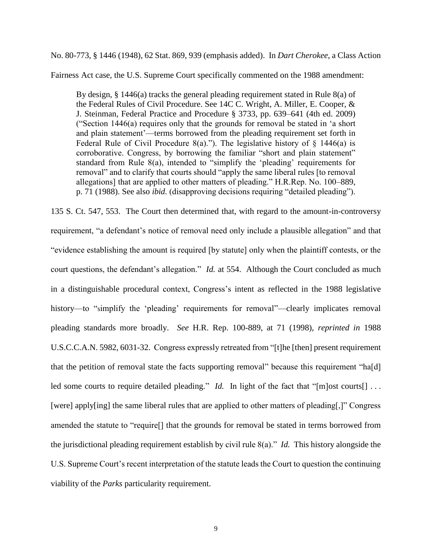No. 80-773, § 1446 (1948), 62 Stat. 869, 939 (emphasis added). In *Dart Cherokee*, a Class Action

Fairness Act case, the U.S. Supreme Court specifically commented on the 1988 amendment:

By design,  $\S$  1446(a) tracks the general pleading requirement stated in Rule 8(a) of the Federal Rules of Civil Procedure. See 14C C. Wright, A. Miller, E. Cooper, & J. Steinman, Federal Practice and Procedure § 3733, pp. 639–641 (4th ed. 2009) ("Section 1446(a) requires only that the grounds for removal be stated in 'a short and plain statement'—terms borrowed from the pleading requirement set forth in Federal Rule of Civil Procedure 8(a)."). The legislative history of  $\S$  1446(a) is corroborative. Congress, by borrowing the familiar "short and plain statement" standard from Rule 8(a), intended to "simplify the 'pleading' requirements for removal" and to clarify that courts should "apply the same liberal rules [to removal allegations] that are applied to other matters of pleading." H.R.Rep. No. 100–889, p. 71 (1988). See also *ibid.* (disapproving decisions requiring "detailed pleading").

135 S. Ct. 547, 553. The Court then determined that, with regard to the amount-in-controversy requirement, "a defendant's notice of removal need only include a plausible allegation" and that "evidence establishing the amount is required [by statute] only when the plaintiff contests, or the court questions, the defendant's allegation." *Id.* at 554. Although the Court concluded as much in a distinguishable procedural context, Congress's intent as reflected in the 1988 legislative history—to "simplify the 'pleading' requirements for removal"—clearly implicates removal pleading standards more broadly. *See* H.R. Rep. 100-889, at 71 (1998), *reprinted in* 1988 U.S.C.C.A.N. 5982, 6031-32. Congress expressly retreated from "[t]he [then] present requirement that the petition of removal state the facts supporting removal" because this requirement "ha[d] led some courts to require detailed pleading." *Id.* In light of the fact that "[m]ost courts[] ... [were] apply[ing] the same liberal rules that are applied to other matters of pleading[,]" Congress amended the statute to "require[] that the grounds for removal be stated in terms borrowed from the jurisdictional pleading requirement establish by civil rule 8(a)." *Id.* This history alongside the U.S. Supreme Court's recent interpretation of the statute leads the Court to question the continuing viability of the *Parks* particularity requirement.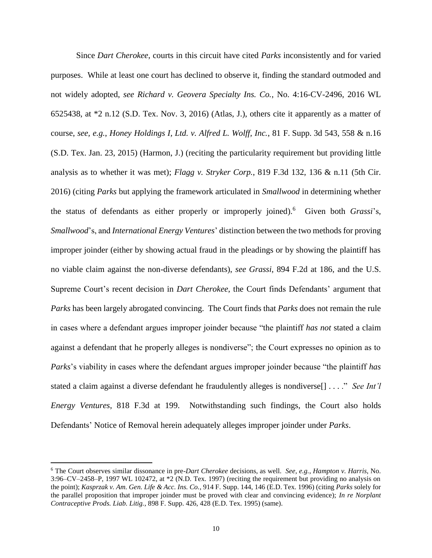Since *Dart Cherokee*, courts in this circuit have cited *Parks* inconsistently and for varied purposes. While at least one court has declined to observe it, finding the standard outmoded and not widely adopted, *see Richard v. Geovera Specialty Ins. Co.*, No. 4:16-CV-2496, 2016 WL 6525438, at \*2 n.12 (S.D. Tex. Nov. 3, 2016) (Atlas, J.), others cite it apparently as a matter of course, *see, e.g.*, *Honey Holdings I, Ltd. v. Alfred L. Wolff, Inc.*, 81 F. Supp. 3d 543, 558 & n.16 (S.D. Tex. Jan. 23, 2015) (Harmon, J.) (reciting the particularity requirement but providing little analysis as to whether it was met); *Flagg v. Stryker Corp.*, 819 F.3d 132, 136 & n.11 (5th Cir. 2016) (citing *Parks* but applying the framework articulated in *Smallwood* in determining whether the status of defendants as either properly or improperly joined). 6 Given both *Grassi*'s, *Smallwood*'s, and *International Energy Ventures*' distinction between the two methods for proving improper joinder (either by showing actual fraud in the pleadings or by showing the plaintiff has no viable claim against the non-diverse defendants), *see Grassi*, 894 F.2d at 186, and the U.S. Supreme Court's recent decision in *Dart Cherokee*, the Court finds Defendants' argument that *Parks* has been largely abrogated convincing. The Court finds that *Parks* does not remain the rule in cases where a defendant argues improper joinder because "the plaintiff *has not* stated a claim against a defendant that he properly alleges is nondiverse"; the Court expresses no opinion as to *Parks*'s viability in cases where the defendant argues improper joinder because "the plaintiff *has*  stated a claim against a diverse defendant he fraudulently alleges is nondiverse[] . . . ." *See Int'l Energy Ventures*, 818 F.3d at 199. Notwithstanding such findings, the Court also holds Defendants' Notice of Removal herein adequately alleges improper joinder under *Parks*.

<sup>6</sup> The Court observes similar dissonance in pre-*Dart Cherokee* decisions, as well. *See, e.g.*, *Hampton v. Harris*, No. 3:96–CV–2458–P, 1997 WL 102472, at \*2 (N.D. Tex. 1997) (reciting the requirement but providing no analysis on the point); *Kasprzak v. Am. Gen. Life & Acc. Ins. Co.*, 914 F. Supp. 144, 146 (E.D. Tex. 1996) (citing *Parks* solely for the parallel proposition that improper joinder must be proved with clear and convincing evidence); *In re Norplant Contraceptive Prods. Liab. Litig.*, 898 F. Supp. 426, 428 (E.D. Tex. 1995) (same).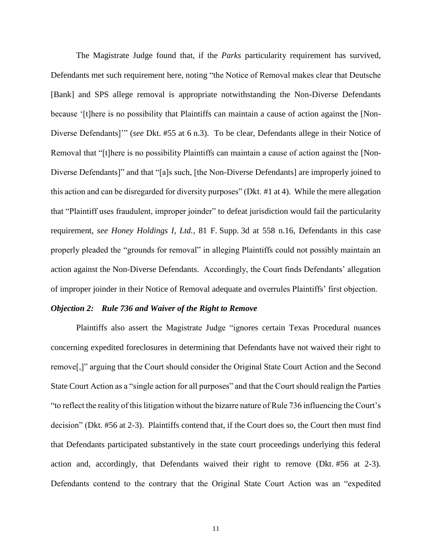The Magistrate Judge found that, if the *Parks* particularity requirement has survived, Defendants met such requirement here, noting "the Notice of Removal makes clear that Deutsche [Bank] and SPS allege removal is appropriate notwithstanding the Non-Diverse Defendants because '[t]here is no possibility that Plaintiffs can maintain a cause of action against the [Non-Diverse Defendants]'" (*see* Dkt. #55 at 6 n.3). To be clear, Defendants allege in their Notice of Removal that "[t]here is no possibility Plaintiffs can maintain a cause of action against the [Non-Diverse Defendants]" and that "[a]s such, [the Non-Diverse Defendants] are improperly joined to this action and can be disregarded for diversity purposes" (Dkt. #1 at 4). While the mere allegation that "Plaintiff uses fraudulent, improper joinder" to defeat jurisdiction would fail the particularity requirement, *see Honey Holdings I, Ltd.*, 81 F. Supp. 3d at 558 n.16, Defendants in this case properly pleaded the "grounds for removal" in alleging Plaintiffs could not possibly maintain an action against the Non-Diverse Defendants. Accordingly, the Court finds Defendants' allegation of improper joinder in their Notice of Removal adequate and overrules Plaintiffs' first objection.

## *Objection 2: Rule 736 and Waiver of the Right to Remove*

Plaintiffs also assert the Magistrate Judge "ignores certain Texas Procedural nuances concerning expedited foreclosures in determining that Defendants have not waived their right to remove[,]" arguing that the Court should consider the Original State Court Action and the Second State Court Action as a "single action for all purposes" and that the Court should realign the Parties "to reflect the reality of this litigation without the bizarre nature of Rule 736 influencing the Court's decision" (Dkt. #56 at 2-3). Plaintiffs contend that, if the Court does so, the Court then must find that Defendants participated substantively in the state court proceedings underlying this federal action and, accordingly, that Defendants waived their right to remove (Dkt. #56 at 2-3). Defendants contend to the contrary that the Original State Court Action was an "expedited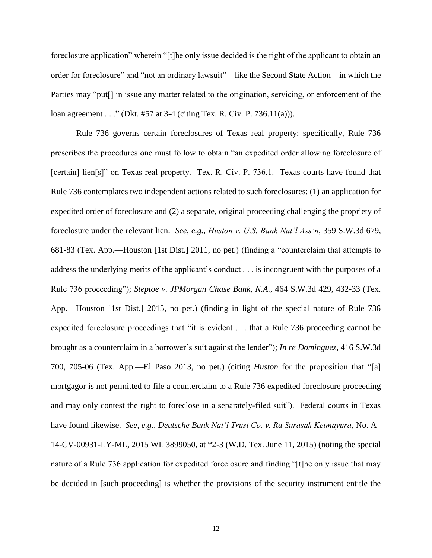foreclosure application" wherein "[t]he only issue decided is the right of the applicant to obtain an order for foreclosure" and "not an ordinary lawsuit"—like the Second State Action—in which the Parties may "put[] in issue any matter related to the origination, servicing, or enforcement of the loan agreement . . ." (Dkt. #57 at 3-4 (citing Tex. R. Civ. P. 736.11(a))).

Rule 736 governs certain foreclosures of Texas real property; specifically, Rule 736 prescribes the procedures one must follow to obtain "an expedited order allowing foreclosure of [certain] lien[s]" on Texas real property. Tex. R. Civ. P. 736.1. Texas courts have found that Rule 736 contemplates two independent actions related to such foreclosures: (1) an application for expedited order of foreclosure and (2) a separate, original proceeding challenging the propriety of foreclosure under the relevant lien. *See, e.g.*, *Huston v. U.S. Bank Nat'l Ass'n*, 359 S.W.3d 679, 681-83 (Tex. App.—Houston [1st Dist.] 2011, no pet.) (finding a "counterclaim that attempts to address the underlying merits of the applicant's conduct . . . is incongruent with the purposes of a Rule 736 proceeding"); *Steptoe v. JPMorgan Chase Bank, N.A.*, 464 S.W.3d 429, 432-33 (Tex. App.—Houston [1st Dist.] 2015, no pet.) (finding in light of the special nature of Rule 736 expedited foreclosure proceedings that "it is evident . . . that a Rule 736 proceeding cannot be brought as a counterclaim in a borrower's suit against the lender"); *In re Dominguez*, 416 S.W.3d 700, 705-06 (Tex. App.—El Paso 2013, no pet.) (citing *Huston* for the proposition that "[a] mortgagor is not permitted to file a counterclaim to a Rule 736 expedited foreclosure proceeding and may only contest the right to foreclose in a separately-filed suit"). Federal courts in Texas have found likewise. *See, e.g.*, *Deutsche Bank Nat'l Trust Co. v. Ra Surasak Ketmayura*, No. A– 14-CV-00931-LY-ML, 2015 WL 3899050, at \*2-3 (W.D. Tex. June 11, 2015) (noting the special nature of a Rule 736 application for expedited foreclosure and finding "[t]he only issue that may be decided in [such proceeding] is whether the provisions of the security instrument entitle the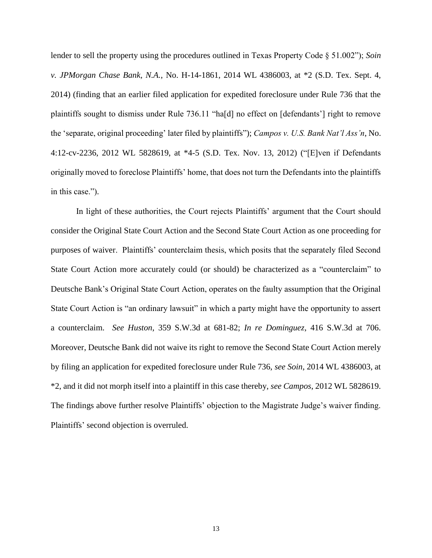lender to sell the property using the procedures outlined in Texas Property Code § 51.002"); *Soin v. JPMorgan Chase Bank, N.A.*, No. H-14-1861, 2014 WL 4386003, at \*2 (S.D. Tex. Sept. 4, 2014) (finding that an earlier filed application for expedited foreclosure under Rule 736 that the plaintiffs sought to dismiss under Rule 736.11 "ha[d] no effect on [defendants'] right to remove the 'separate, original proceeding' later filed by plaintiffs"); *Campos v. U.S. Bank Nat'l Ass'n*, No. 4:12-cv-2236, 2012 WL 5828619, at \*4-5 (S.D. Tex. Nov. 13, 2012) ("[E]ven if Defendants originally moved to foreclose Plaintiffs' home, that does not turn the Defendants into the plaintiffs in this case.").

In light of these authorities, the Court rejects Plaintiffs' argument that the Court should consider the Original State Court Action and the Second State Court Action as one proceeding for purposes of waiver. Plaintiffs' counterclaim thesis, which posits that the separately filed Second State Court Action more accurately could (or should) be characterized as a "counterclaim" to Deutsche Bank's Original State Court Action, operates on the faulty assumption that the Original State Court Action is "an ordinary lawsuit" in which a party might have the opportunity to assert a counterclaim. *See Huston*, 359 S.W.3d at 681-82; *In re Dominguez*, 416 S.W.3d at 706. Moreover, Deutsche Bank did not waive its right to remove the Second State Court Action merely by filing an application for expedited foreclosure under Rule 736, *see Soin*, 2014 WL 4386003, at \*2, and it did not morph itself into a plaintiff in this case thereby, *see Campos*, 2012 WL 5828619. The findings above further resolve Plaintiffs' objection to the Magistrate Judge's waiver finding. Plaintiffs' second objection is overruled.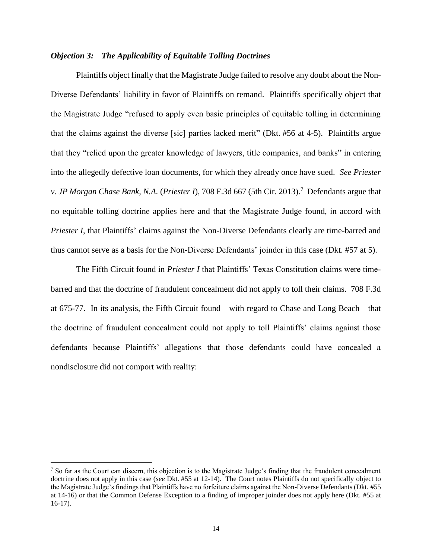## *Objection 3: The Applicability of Equitable Tolling Doctrines*

Plaintiffs object finally that the Magistrate Judge failed to resolve any doubt about the Non-Diverse Defendants' liability in favor of Plaintiffs on remand. Plaintiffs specifically object that the Magistrate Judge "refused to apply even basic principles of equitable tolling in determining that the claims against the diverse [sic] parties lacked merit" (Dkt. #56 at 4-5). Plaintiffs argue that they "relied upon the greater knowledge of lawyers, title companies, and banks" in entering into the allegedly defective loan documents, for which they already once have sued. *See Priester v. JP Morgan Chase Bank, N.A.* (*Priester I*), 708 F.3d 667 (5th Cir. 2013).<sup>7</sup> Defendants argue that no equitable tolling doctrine applies here and that the Magistrate Judge found, in accord with *Priester I*, that Plaintiffs' claims against the Non-Diverse Defendants clearly are time-barred and thus cannot serve as a basis for the Non-Diverse Defendants' joinder in this case (Dkt. #57 at 5).

The Fifth Circuit found in *Priester I* that Plaintiffs' Texas Constitution claims were timebarred and that the doctrine of fraudulent concealment did not apply to toll their claims. 708 F.3d at 675-77. In its analysis, the Fifth Circuit found—with regard to Chase and Long Beach—that the doctrine of fraudulent concealment could not apply to toll Plaintiffs' claims against those defendants because Plaintiffs' allegations that those defendants could have concealed a nondisclosure did not comport with reality:

<sup>&</sup>lt;sup>7</sup> So far as the Court can discern, this objection is to the Magistrate Judge's finding that the fraudulent concealment doctrine does not apply in this case (*see* Dkt. #55 at 12-14). The Court notes Plaintiffs do not specifically object to the Magistrate Judge's findings that Plaintiffs have no forfeiture claims against the Non-Diverse Defendants (Dkt. #55 at 14-16) or that the Common Defense Exception to a finding of improper joinder does not apply here (Dkt. #55 at 16-17).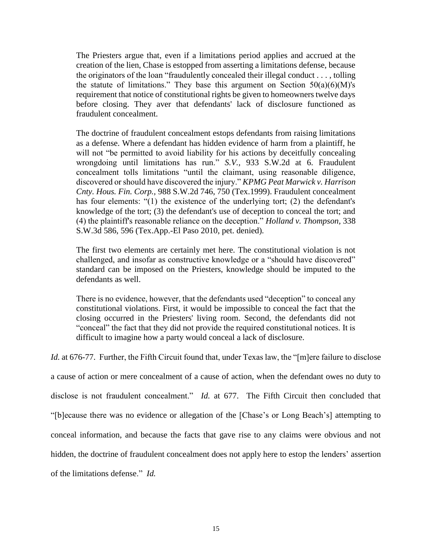The Priesters argue that, even if a limitations period applies and accrued at the creation of the lien, Chase is estopped from asserting a limitations defense, because the originators of the loan "fraudulently concealed their illegal conduct . . . , tolling the statute of limitations." They base this argument on Section  $50(a)(6)(M)$ 's requirement that notice of constitutional rights be given to homeowners twelve days before closing. They aver that defendants' lack of disclosure functioned as fraudulent concealment.

The doctrine of fraudulent concealment estops defendants from raising limitations as a defense. Where a defendant has hidden evidence of harm from a plaintiff, he will not "be permitted to avoid liability for his actions by deceitfully concealing wrongdoing until limitations has run." *S.V.,* 933 S.W.2d at 6. Fraudulent concealment tolls limitations "until the claimant, using reasonable diligence, discovered or should have discovered the injury." *KPMG Peat Marwick v. Harrison Cnty. Hous. Fin. Corp.,* 988 S.W.2d 746, 750 (Tex.1999). Fraudulent concealment has four elements: "(1) the existence of the underlying tort; (2) the defendant's knowledge of the tort; (3) the defendant's use of deception to conceal the tort; and (4) the plaintiff's reasonable reliance on the deception." *Holland v. Thompson,* 338 S.W.3d 586, 596 (Tex.App.-El Paso 2010, pet. denied).

The first two elements are certainly met here. The constitutional violation is not challenged, and insofar as constructive knowledge or a "should have discovered" standard can be imposed on the Priesters, knowledge should be imputed to the defendants as well.

There is no evidence, however, that the defendants used "deception" to conceal any constitutional violations. First, it would be impossible to conceal the fact that the closing occurred in the Priesters' living room. Second, the defendants did not "conceal" the fact that they did not provide the required constitutional notices. It is difficult to imagine how a party would conceal a lack of disclosure.

*Id.* at 676-77. Further, the Fifth Circuit found that, under Texas law, the "[m]ere failure to disclose a cause of action or mere concealment of a cause of action, when the defendant owes no duty to disclose is not fraudulent concealment." *Id.* at 677. The Fifth Circuit then concluded that "[b]ecause there was no evidence or allegation of the [Chase's or Long Beach's] attempting to conceal information, and because the facts that gave rise to any claims were obvious and not hidden, the doctrine of fraudulent concealment does not apply here to estop the lenders' assertion of the limitations defense." *Id.*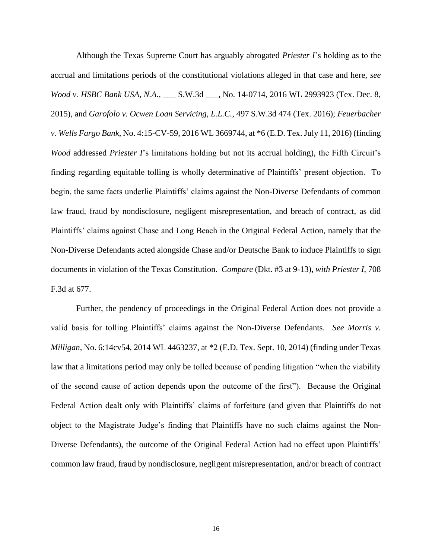Although the Texas Supreme Court has arguably abrogated *Priester I*'s holding as to the accrual and limitations periods of the constitutional violations alleged in that case and here, *see Wood v. HSBC Bank USA, N.A.*, S.W.3d , No. 14-0714, 2016 WL 2993923 (Tex. Dec. 8, 2015), and *Garofolo v. Ocwen Loan Servicing, L.L.C.*, 497 S.W.3d 474 (Tex. 2016); *Feuerbacher v. Wells Fargo Bank*, No. 4:15-CV-59, 2016 WL 3669744, at \*6 (E.D. Tex. July 11, 2016) (finding *Wood* addressed *Priester I*'s limitations holding but not its accrual holding), the Fifth Circuit's finding regarding equitable tolling is wholly determinative of Plaintiffs' present objection. To begin, the same facts underlie Plaintiffs' claims against the Non-Diverse Defendants of common law fraud, fraud by nondisclosure, negligent misrepresentation, and breach of contract, as did Plaintiffs' claims against Chase and Long Beach in the Original Federal Action, namely that the Non-Diverse Defendants acted alongside Chase and/or Deutsche Bank to induce Plaintiffs to sign documents in violation of the Texas Constitution. *Compare* (Dkt. #3 at 9-13), *with Priester I*, 708 F.3d at 677.

Further, the pendency of proceedings in the Original Federal Action does not provide a valid basis for tolling Plaintiffs' claims against the Non-Diverse Defendants. *See Morris v. Milligan*, No. 6:14cv54, 2014 WL 4463237, at \*2 (E.D. Tex. Sept. 10, 2014) (finding under Texas law that a limitations period may only be tolled because of pending litigation "when the viability of the second cause of action depends upon the outcome of the first"). Because the Original Federal Action dealt only with Plaintiffs' claims of forfeiture (and given that Plaintiffs do not object to the Magistrate Judge's finding that Plaintiffs have no such claims against the Non-Diverse Defendants), the outcome of the Original Federal Action had no effect upon Plaintiffs' common law fraud, fraud by nondisclosure, negligent misrepresentation, and/or breach of contract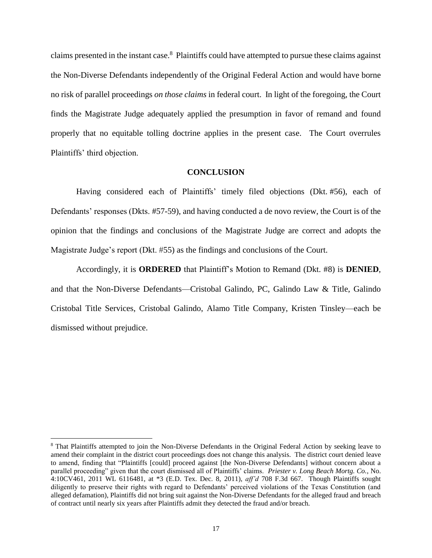claims presented in the instant case.<sup>8</sup> Plaintiffs could have attempted to pursue these claims against the Non-Diverse Defendants independently of the Original Federal Action and would have borne no risk of parallel proceedings *on those claims* in federal court. In light of the foregoing, the Court finds the Magistrate Judge adequately applied the presumption in favor of remand and found properly that no equitable tolling doctrine applies in the present case. The Court overrules Plaintiffs' third objection.

#### **CONCLUSION**

Having considered each of Plaintiffs' timely filed objections (Dkt. #56), each of Defendants' responses (Dkts. #57-59), and having conducted a de novo review, the Court is of the opinion that the findings and conclusions of the Magistrate Judge are correct and adopts the Magistrate Judge's report (Dkt. #55) as the findings and conclusions of the Court.

Accordingly, it is **ORDERED** that Plaintiff's Motion to Remand (Dkt. #8) is **DENIED**, and that the Non-Diverse Defendants—Cristobal Galindo, PC, Galindo Law & Title, Galindo Cristobal Title Services, Cristobal Galindo, Alamo Title Company, Kristen Tinsley—each be dismissed without prejudice.

<sup>8</sup> That Plaintiffs attempted to join the Non-Diverse Defendants in the Original Federal Action by seeking leave to amend their complaint in the district court proceedings does not change this analysis. The district court denied leave to amend, finding that "Plaintiffs [could] proceed against [the Non-Diverse Defendants] without concern about a parallel proceeding" given that the court dismissed all of Plaintiffs' claims. *Priester v. Long Beach Mortg. Co.*, No. 4:10CV461, 2011 WL 6116481, at \*3 (E.D. Tex. Dec. 8, 2011), *aff'd* 708 F.3d 667. Though Plaintiffs sought diligently to preserve their rights with regard to Defendants' perceived violations of the Texas Constitution (and alleged defamation), Plaintiffs did not bring suit against the Non-Diverse Defendants for the alleged fraud and breach of contract until nearly six years after Plaintiffs admit they detected the fraud and/or breach.